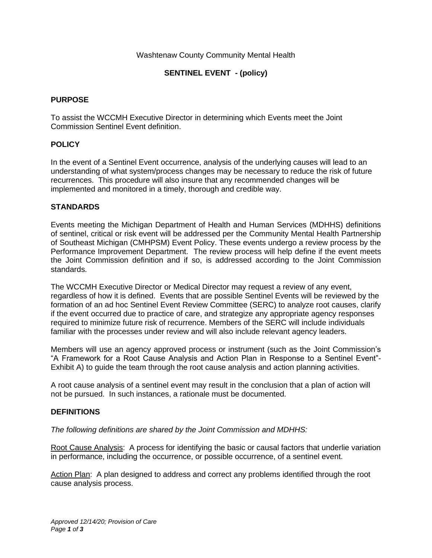### Washtenaw County Community Mental Health

## **SENTINEL EVENT - (policy)**

#### **PURPOSE**

To assist the WCCMH Executive Director in determining which Events meet the Joint Commission Sentinel Event definition.

#### **POLICY**

In the event of a Sentinel Event occurrence, analysis of the underlying causes will lead to an understanding of what system/process changes may be necessary to reduce the risk of future recurrences. This procedure will also insure that any recommended changes will be implemented and monitored in a timely, thorough and credible way.

#### **STANDARDS**

Events meeting the Michigan Department of Health and Human Services (MDHHS) definitions of sentinel, critical or risk event will be addressed per the Community Mental Health Partnership of Southeast Michigan (CMHPSM) Event Policy. These events undergo a review process by the Performance Improvement Department. The review process will help define if the event meets the Joint Commission definition and if so, is addressed according to the Joint Commission standards.

The WCCMH Executive Director or Medical Director may request a review of any event, regardless of how it is defined. Events that are possible Sentinel Events will be reviewed by the formation of an ad hoc Sentinel Event Review Committee (SERC) to analyze root causes, clarify if the event occurred due to practice of care, and strategize any appropriate agency responses required to minimize future risk of recurrence. Members of the SERC will include individuals familiar with the processes under review and will also include relevant agency leaders.

Members will use an agency approved process or instrument (such as the Joint Commission's "A Framework for a Root Cause Analysis and Action Plan in Response to a Sentinel Event"- Exhibit A) to guide the team through the root cause analysis and action planning activities.

A root cause analysis of a sentinel event may result in the conclusion that a plan of action will not be pursued. In such instances, a rationale must be documented.

#### **DEFINITIONS**

*The following definitions are shared by the Joint Commission and MDHHS:*

Root Cause Analysis: A process for identifying the basic or causal factors that underlie variation in performance, including the occurrence, or possible occurrence, of a sentinel event.

Action Plan: A plan designed to address and correct any problems identified through the root cause analysis process.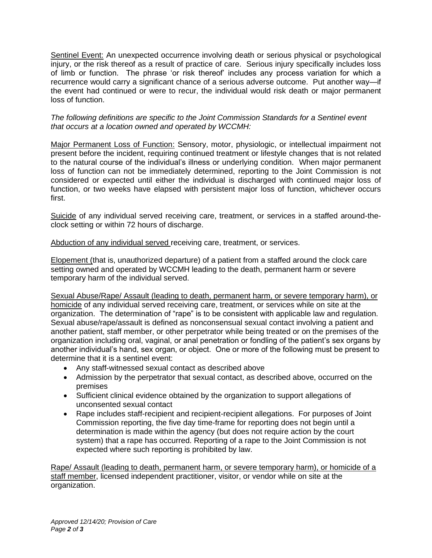Sentinel Event: An unexpected occurrence involving death or serious physical or psychological injury, or the risk thereof as a result of practice of care. Serious injury specifically includes loss of limb or function. The phrase 'or risk thereof' includes any process variation for which a recurrence would carry a significant chance of a serious adverse outcome. Put another way—if the event had continued or were to recur, the individual would risk death or major permanent loss of function.

### *The following definitions are specific to the Joint Commission Standards for a Sentinel event that occurs at a location owned and operated by WCCMH:*

Major Permanent Loss of Function: Sensory, motor, physiologic, or intellectual impairment not present before the incident, requiring continued treatment or lifestyle changes that is not related to the natural course of the individual's illness or underlying condition. When major permanent loss of function can not be immediately determined, reporting to the Joint Commission is not considered or expected until either the individual is discharged with continued major loss of function, or two weeks have elapsed with persistent major loss of function, whichever occurs first.

Suicide of any individual served receiving care, treatment, or services in a staffed around-theclock setting or within 72 hours of discharge.

Abduction of any individual served receiving care, treatment, or services.

Elopement (that is, unauthorized departure) of a patient from a staffed around the clock care setting owned and operated by WCCMH leading to the death, permanent harm or severe temporary harm of the individual served.

Sexual Abuse/Rape/ Assault (leading to death, permanent harm, or severe temporary harm), or homicide of any individual served receiving care, treatment, or services while on site at the organization. The determination of "rape" is to be consistent with applicable law and regulation. Sexual abuse/rape/assault is defined as nonconsensual sexual contact involving a patient and another patient, staff member, or other perpetrator while being treated or on the premises of the organization including oral, vaginal, or anal penetration or fondling of the patient's sex organs by another individual's hand, sex organ, or object. One or more of the following must be present to determine that it is a sentinel event:

- Any staff-witnessed sexual contact as described above
- Admission by the perpetrator that sexual contact, as described above, occurred on the premises
- Sufficient clinical evidence obtained by the organization to support allegations of unconsented sexual contact
- Rape includes staff-recipient and recipient-recipient allegations. For purposes of Joint Commission reporting, the five day time-frame for reporting does not begin until a determination is made within the agency (but does not require action by the court system) that a rape has occurred. Reporting of a rape to the Joint Commission is not expected where such reporting is prohibited by law.

Rape/ Assault (leading to death, permanent harm, or severe temporary harm), or homicide of a staff member, licensed independent practitioner, visitor, or vendor while on site at the organization.